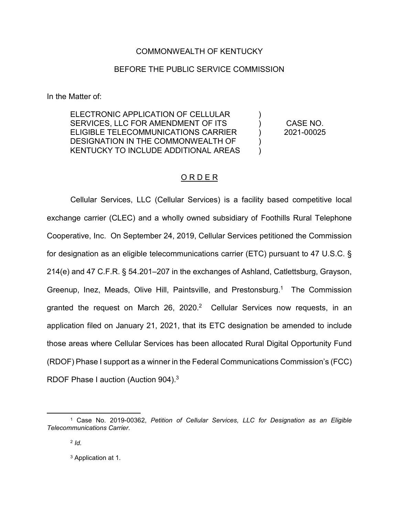## COMMONWEALTH OF KENTUCKY

## BEFORE THE PUBLIC SERVICE COMMISSION

In the Matter of:

ELECTRONIC APPLICATION OF CELLULAR SERVICES, LLC FOR AMENDMENT OF ITS ELIGIBLE TELECOMMUNICATIONS CARRIER DESIGNATION IN THE COMMONWEALTH OF KENTUCKY TO INCLUDE ADDITIONAL AREAS

CASE NO. 2021-00025

)  $\lambda$  $\lambda$ ) )

## O R D E R

Cellular Services, LLC (Cellular Services) is a facility based competitive local exchange carrier (CLEC) and a wholly owned subsidiary of Foothills Rural Telephone Cooperative, Inc. On September 24, 2019, Cellular Services petitioned the Commission for designation as an eligible telecommunications carrier (ETC) pursuant to 47 U.S.C. § 214(e) and 47 C.F.R. § 54.201–207 in the exchanges of Ashland, Catlettsburg, Grayson, Greenup, Inez, Meads, Olive Hill, Paintsville, and Prestonsburg.<sup>1</sup> The Commission granted the request on March 26, 2020.<sup>2</sup> Cellular Services now requests, in an application filed on January 21, 2021, that its ETC designation be amended to include those areas where Cellular Services has been allocated Rural Digital Opportunity Fund (RDOF) Phase I support as a winner in the Federal Communications Commission's (FCC) RDOF Phase I auction (Auction 904).<sup>3</sup>

 <sup>1</sup> Case No. 2019-00362, *Petition of Cellular Services, LLC for Designation as an Eligible Telecommunications Carrier.*

<sup>2</sup> *Id.*

<sup>3</sup> Application at 1.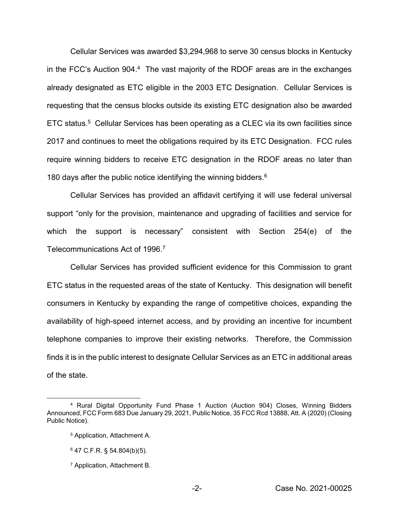Cellular Services was awarded \$3,294,968 to serve 30 census blocks in Kentucky in the FCC's Auction 904.<sup>4</sup> The vast majority of the RDOF areas are in the exchanges already designated as ETC eligible in the 2003 ETC Designation. Cellular Services is requesting that the census blocks outside its existing ETC designation also be awarded ETC status.5 Cellular Services has been operating as a CLEC via its own facilities since 2017 and continues to meet the obligations required by its ETC Designation. FCC rules require winning bidders to receive ETC designation in the RDOF areas no later than 180 days after the public notice identifying the winning bidders.<sup>6</sup>

Cellular Services has provided an affidavit certifying it will use federal universal support "only for the provision, maintenance and upgrading of facilities and service for which the support is necessary" consistent with Section 254(e) of the Telecommunications Act of 1996. 7

Cellular Services has provided sufficient evidence for this Commission to grant ETC status in the requested areas of the state of Kentucky. This designation will benefit consumers in Kentucky by expanding the range of competitive choices, expanding the availability of high-speed internet access, and by providing an incentive for incumbent telephone companies to improve their existing networks. Therefore, the Commission finds it is in the public interest to designate Cellular Services as an ETC in additional areas of the state.

 <sup>4</sup> Rural Digital Opportunity Fund Phase 1 Auction (Auction 904) Closes, Winning Bidders Announced, FCC Form 683 Due January 29, 2021, Public Notice, 35 FCC Rcd 13888, Att. A (2020) (Closing Public Notice).

<sup>5</sup> Application, Attachment A.

 $6$  47 C.F.R. § 54.804(b)(5).

<sup>7</sup> Application, Attachment B.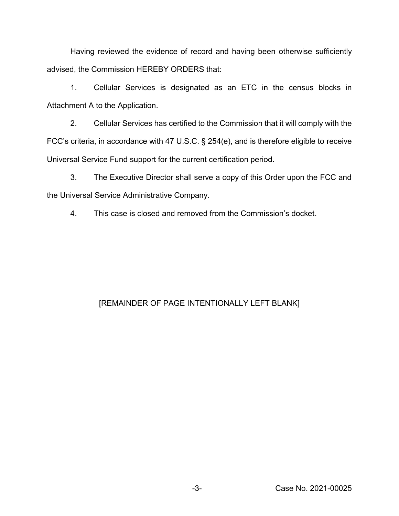Having reviewed the evidence of record and having been otherwise sufficiently advised, the Commission HEREBY ORDERS that:

1. Cellular Services is designated as an ETC in the census blocks in Attachment A to the Application.

2. Cellular Services has certified to the Commission that it will comply with the FCC's criteria, in accordance with 47 U.S.C. § 254(e), and is therefore eligible to receive Universal Service Fund support for the current certification period.

3. The Executive Director shall serve a copy of this Order upon the FCC and the Universal Service Administrative Company.

4. This case is closed and removed from the Commission's docket.

## [REMAINDER OF PAGE INTENTIONALLY LEFT BLANK]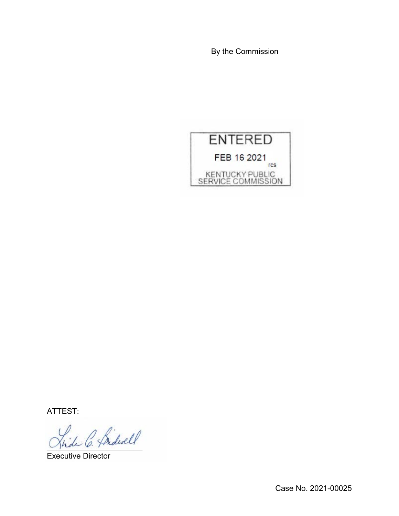By the Commission



ATTEST:

\_\_\_\_\_\_\_\_\_\_\_\_\_\_\_\_\_\_\_\_\_\_

Executive Director

Case No. 2021-00025